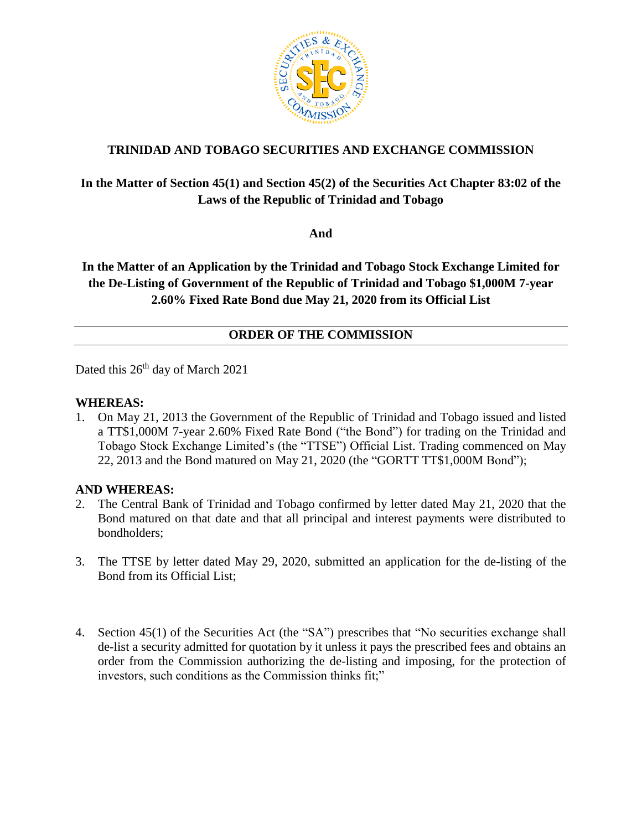

# **TRINIDAD AND TOBAGO SECURITIES AND EXCHANGE COMMISSION**

## **In the Matter of Section 45(1) and Section 45(2) of the Securities Act Chapter 83:02 of the Laws of the Republic of Trinidad and Tobago**

**And**

# **In the Matter of an Application by the Trinidad and Tobago Stock Exchange Limited for the De-Listing of Government of the Republic of Trinidad and Tobago \$1,000M 7-year 2.60% Fixed Rate Bond due May 21, 2020 from its Official List**

## **ORDER OF THE COMMISSION**

Dated this 26<sup>th</sup> day of March 2021

#### **WHEREAS:**

1. On May 21, 2013 the Government of the Republic of Trinidad and Tobago issued and listed a TT\$1,000M 7-year 2.60% Fixed Rate Bond ("the Bond") for trading on the Trinidad and Tobago Stock Exchange Limited's (the "TTSE") Official List. Trading commenced on May 22, 2013 and the Bond matured on May 21, 2020 (the "GORTT TT\$1,000M Bond");

#### **AND WHEREAS:**

- 2. The Central Bank of Trinidad and Tobago confirmed by letter dated May 21, 2020 that the Bond matured on that date and that all principal and interest payments were distributed to bondholders;
- 3. The TTSE by letter dated May 29, 2020, submitted an application for the de-listing of the Bond from its Official List;
- 4. Section 45(1) of the Securities Act (the "SA") prescribes that "No securities exchange shall de-list a security admitted for quotation by it unless it pays the prescribed fees and obtains an order from the Commission authorizing the de-listing and imposing, for the protection of investors, such conditions as the Commission thinks fit;"